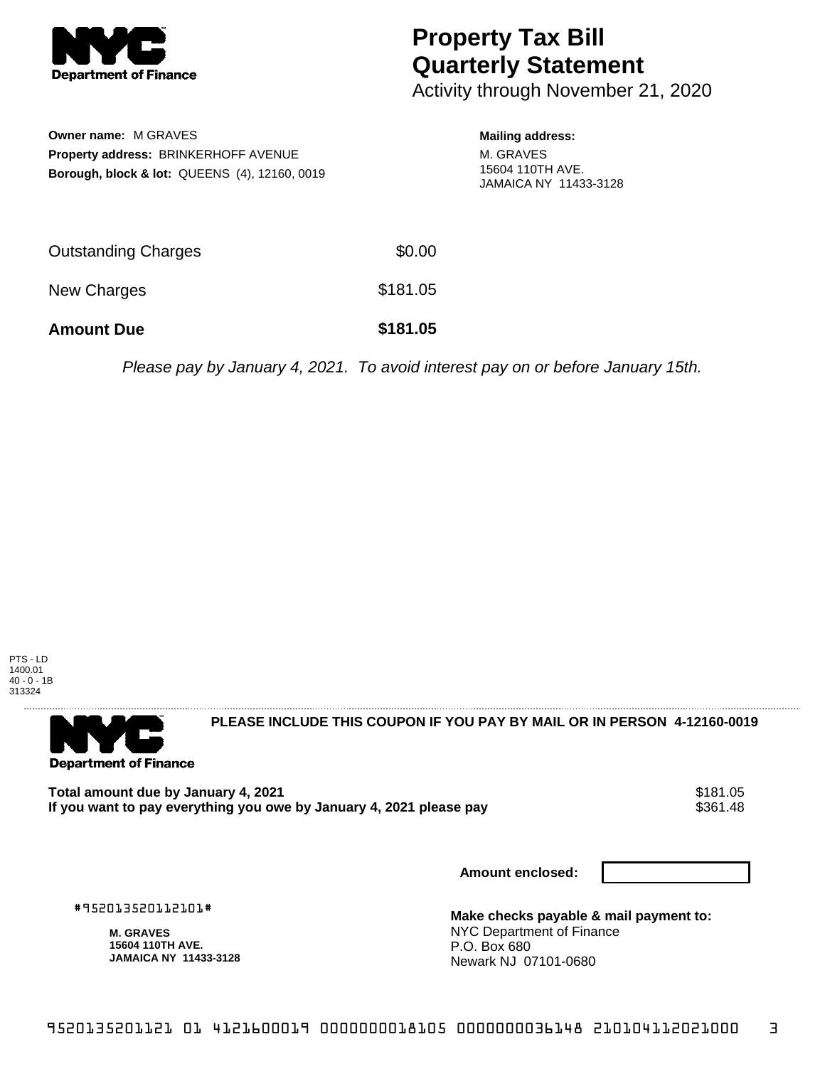

## **Property Tax Bill Quarterly Statement**

Activity through November 21, 2020

| <b>Owner name: M GRAVES</b>                              |
|----------------------------------------------------------|
| <b>Property address: BRINKERHOFF AVENUE</b>              |
| <b>Borough, block &amp; lot: QUEENS (4), 12160, 0019</b> |

## **Mailing address:**

M. GRAVES 15604 110TH AVE. JAMAICA NY 11433-3128

| <b>Amount Due</b>          | \$181.05 |
|----------------------------|----------|
| New Charges                | \$181.05 |
| <b>Outstanding Charges</b> | \$0.00   |

Please pay by January 4, 2021. To avoid interest pay on or before January 15th.



**Department of Finance** 

**PLEASE INCLUDE THIS COUPON IF YOU PAY BY MAIL OR IN PERSON 4-12160-0019** 

Total amount due by January 4, 2021<br>If you want to pay everything you owe by January 4, 2021 please pay **show that the seam of the seam of the s**361.48 If you want to pay everything you owe by January 4, 2021 please pay

**Amount enclosed:**

#952013520112101#

**M. GRAVES 15604 110TH AVE. JAMAICA NY 11433-3128** **Make checks payable & mail payment to:** NYC Department of Finance P.O. Box 680 Newark NJ 07101-0680